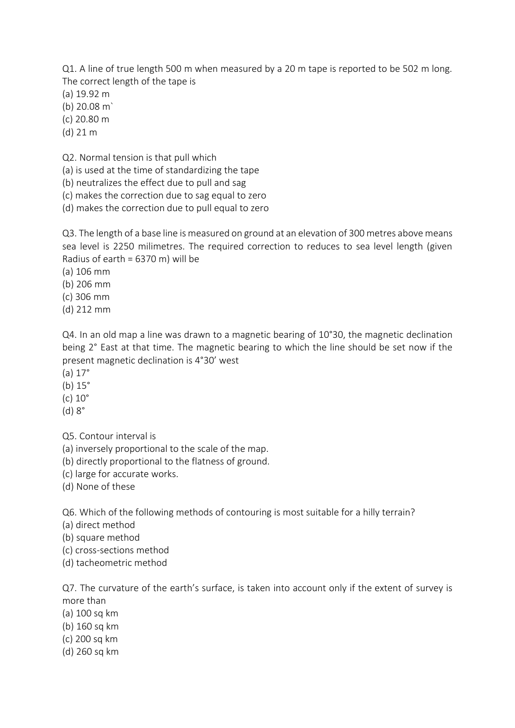Q1. A line of true length 500 m when measured by a 20 m tape is reported to be 502 m long. The correct length of the tape is

- (a) 19.92 m
- (b) 20.08 m`
- (c) 20.80 m
- (d) 21 m

Q2. Normal tension is that pull which

(a) is used at the time of standardizing the tape

(b) neutralizes the effect due to pull and sag

(c) makes the correction due to sag equal to zero

(d) makes the correction due to pull equal to zero

Q3. The length of a base line is measured on ground at an elevation of 300 metres above means sea level is 2250 milimetres. The required correction to reduces to sea level length (given Radius of earth =  $6370$  m) will be

- (a) 106 mm
- (b) 206 mm
- (c) 306 mm
- (d) 212 mm

Q4. In an old map a line was drawn to a magnetic bearing of 10°30, the magnetic declination being 2° East at that time. The magnetic bearing to which the line should be set now if the present magnetic declination is 4°30' west

- (a) 17°
- (b) 15°
- (c) 10°
- (d) 8°

Q5. Contour interval is

(a) inversely proportional to the scale of the map.

(b) directly proportional to the flatness of ground.

- (c) large for accurate works.
- (d) None of these

Q6. Which of the following methods of contouring is most suitable for a hilly terrain?

(a) direct method

(b) square method

- (c) cross-sections method
- (d) tacheometric method

Q7. The curvature of the earth's surface, is taken into account only if the extent of survey is more than

- (a) 100 sq km
- (b) 160 sq km
- (c) 200 sq km
- (d) 260 sq km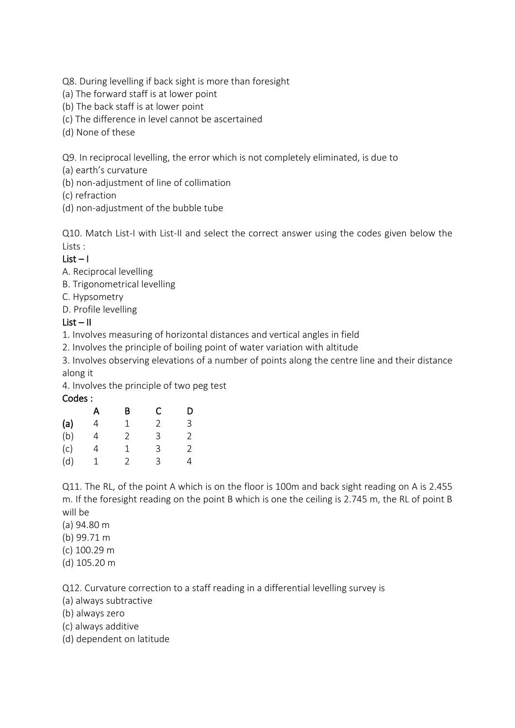Q8. During levelling if back sight is more than foresight

- (a) The forward staff is at lower point
- (b) The back staff is at lower point
- (c) The difference in level cannot be ascertained
- (d) None of these

Q9. In reciprocal levelling, the error which is not completely eliminated, is due to

(a) earth's curvature

(b) non-adjustment of line of collimation

(c) refraction

(d) non-adjustment of the bubble tube

Q10. Match List-I with List-II and select the correct answer using the codes given below the Lists :

### $List - 1$

A. Reciprocal levelling

- B. Trigonometrical levelling
- C. Hypsometry

D. Profile levelling

#### $List - II$

1. Involves measuring of horizontal distances and vertical angles in field

2. Involves the principle of boiling point of water variation with altitude

3. Involves observing elevations of a number of points along the centre line and their distance along it

4. Involves the principle of two peg test

#### Codes :

|     | А | В | С | D |
|-----|---|---|---|---|
| (a) | 4 | 1 | 2 | 3 |
| (b) | 4 | 2 | 3 | 2 |
| (c) | 4 | 1 | 3 | 2 |
| (d) | 1 | 2 | 3 | 4 |

Q11. The RL, of the point A which is on the floor is 100m and back sight reading on A is 2.455 m. If the foresight reading on the point B which is one the ceiling is 2.745 m, the RL of point B will be

- (a) 94.80 m
- (b) 99.71 m
- (c) 100.29 m
- (d) 105.20 m

Q12. Curvature correction to a staff reading in a differential levelling survey is

- (a) always subtractive
- (b) always zero
- (c) always additive
- (d) dependent on latitude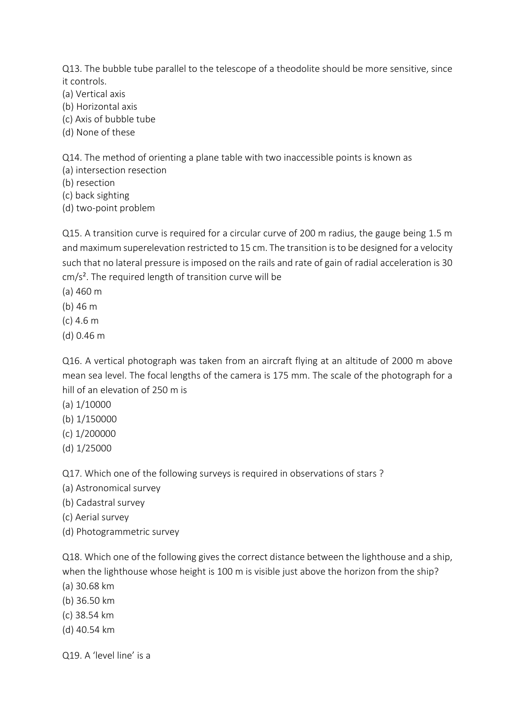Q13. The bubble tube parallel to the telescope of a theodolite should be more sensitive, since it controls.

- (a) Vertical axis
- (b) Horizontal axis
- (c) Axis of bubble tube
- (d) None of these

Q14. The method of orienting a plane table with two inaccessible points is known as

- (a) intersection resection
- (b) resection
- (c) back sighting
- (d) two-point problem

Q15. A transition curve is required for a circular curve of 200 m radius, the gauge being 1.5 m and maximum superelevation restricted to 15 cm. The transition is to be designed for a velocity such that no lateral pressure is imposed on the rails and rate of gain of radial acceleration is 30 cm/s². The required length of transition curve will be

- (a) 460 m
- (b) 46 m
- (c) 4.6 m
- (d) 0.46 m

Q16. A vertical photograph was taken from an aircraft flying at an altitude of 2000 m above mean sea level. The focal lengths of the camera is 175 mm. The scale of the photograph for a hill of an elevation of 250 m is

- (a) 1/10000
- (b) 1/150000
- (c) 1/200000
- (d) 1/25000

Q17. Which one of the following surveys is required in observations of stars ?

- (a) Astronomical survey
- (b) Cadastral survey
- (c) Aerial survey
- (d) Photogrammetric survey

Q18. Which one of the following gives the correct distance between the lighthouse and a ship, when the lighthouse whose height is 100 m is visible just above the horizon from the ship?

- (a) 30.68 km
- (b) 36.50 km
- (c) 38.54 km
- (d) 40.54 km

Q19. A 'level line' is a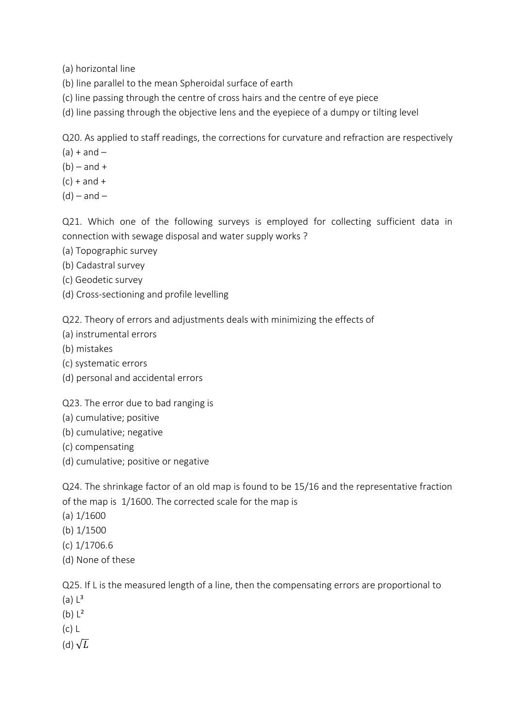(a) horizontal line

- (b) line parallel to the mean Spheroidal surface of earth
- (c) line passing through the centre of cross hairs and the centre of eye piece
- (d) line passing through the objective lens and the eyepiece of a dumpy or tilting level

Q20. As applied to staff readings, the corrections for curvature and refraction are respectively

- $(a) + and -$
- $(b)$  and +
- $(c) +$  and  $+$
- $(d)$  and –

Q21. Which one of the following surveys is employed for collecting sufficient data in connection with sewage disposal and water supply works ?

- (a) Topographic survey
- (b) Cadastral survey
- (c) Geodetic survey
- (d) Cross-sectioning and profile levelling

Q22. Theory of errors and adjustments deals with minimizing the effects of

- (a) instrumental errors
- (b) mistakes
- (c) systematic errors
- (d) personal and accidental errors

Q23. The error due to bad ranging is

- (a) cumulative; positive
- (b) cumulative; negative
- (c) compensating
- (d) cumulative; positive or negative

Q24. The shrinkage factor of an old map is found to be 15/16 and the representative fraction of the map is 1/1600. The corrected scale for the map is

- (a) 1/1600
- (b) 1/1500
- (c) 1/1706.6
- (d) None of these

Q25. If L is the measured length of a line, then the compensating errors are proportional to

- $(a)  $L^3$$
- $(b)  $L^2$$
- (c) L
- (d)  $\sqrt{L}$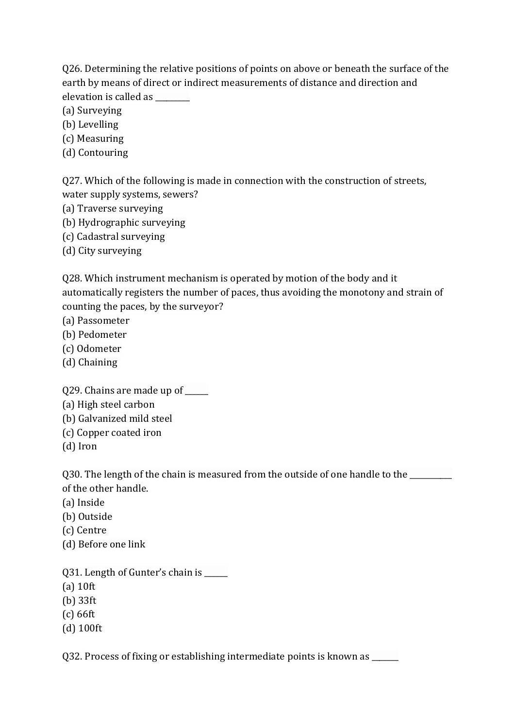Q26. Determining the relative positions of points on above or beneath the surface of the earth by means of direct or indirect measurements of distance and direction and elevation is called as

- (a) Surveying
- (b) Levelling
- (c) Measuring
- (d) Contouring

Q27. Which of the following is made in connection with the construction of streets, water supply systems, sewers?

- (a) Traverse surveying
- (b) Hydrographic surveying
- (c) Cadastral surveying
- (d) City surveying

Q28. Which instrument mechanism is operated by motion of the body and it automatically registers the number of paces, thus avoiding the monotony and strain of counting the paces, by the surveyor?

- (a) Passometer
- (b) Pedometer
- (c) Odometer
- (d) Chaining

Q29. Chains are made up of \_\_\_\_\_\_

- (a) High steel carbon
- (b) Galvanized mild steel
- (c) Copper coated iron
- (d) Iron

Q30. The length of the chain is measured from the outside of one handle to the \_\_\_\_\_\_\_\_ of the other handle.

- (a) Inside
- (b) Outside
- (c) Centre
- (d) Before one link

Q31. Length of Gunter's chain is \_\_\_\_\_\_

- (a) 10ft
- (b) 33ft
- (c) 66ft
- (d) 100ft

Q32. Process of fixing or establishing intermediate points is known as \_\_\_\_\_\_\_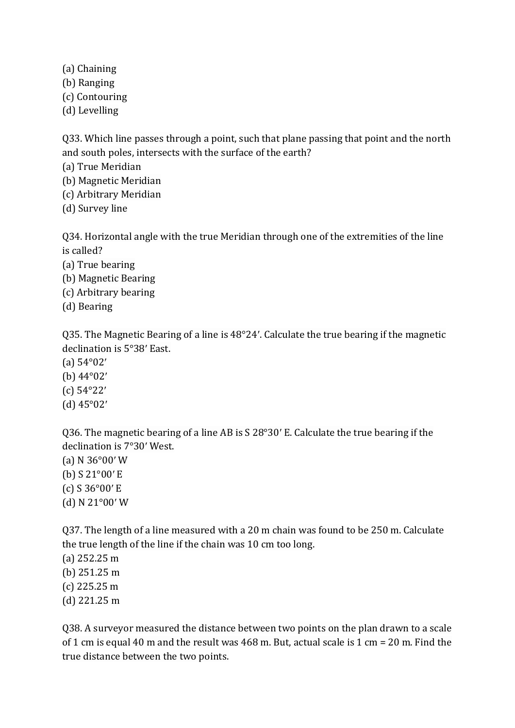- (a) Chaining
- (b) Ranging
- (c) Contouring
- (d) Levelling

Q33. Which line passes through a point, such that plane passing that point and the north and south poles, intersects with the surface of the earth?

(a) True Meridian

- (b) Magnetic Meridian
- (c) Arbitrary Meridian
- (d) Survey line

Q34. Horizontal angle with the true Meridian through one of the extremities of the line is called?

- (a) True bearing
- (b) Magnetic Bearing
- (c) Arbitrary bearing
- (d) Bearing

Q35. The Magnetic Bearing of a line is 48°24′. Calculate the true bearing if the magnetic declination is 5°38′ East.

(a) 54°02′

- (b) 44°02′
- (c) 54°22′
- (d) 45°02′

Q36. The magnetic bearing of a line AB is S 28°30′ E. Calculate the true bearing if the declination is 7°30′ West.

(a) N 36°00′ W (b) S 21°00′ E (c) S 36°00′ E (d) N 21°00′ W

Q37. The length of a line measured with a 20 m chain was found to be 250 m. Calculate the true length of the line if the chain was 10 cm too long.

(a) 252.25 m (b) 251.25 m (c) 225.25 m (d) 221.25 m

Q38. A surveyor measured the distance between two points on the plan drawn to a scale of 1 cm is equal 40 m and the result was 468 m. But, actual scale is 1 cm = 20 m. Find the true distance between the two points.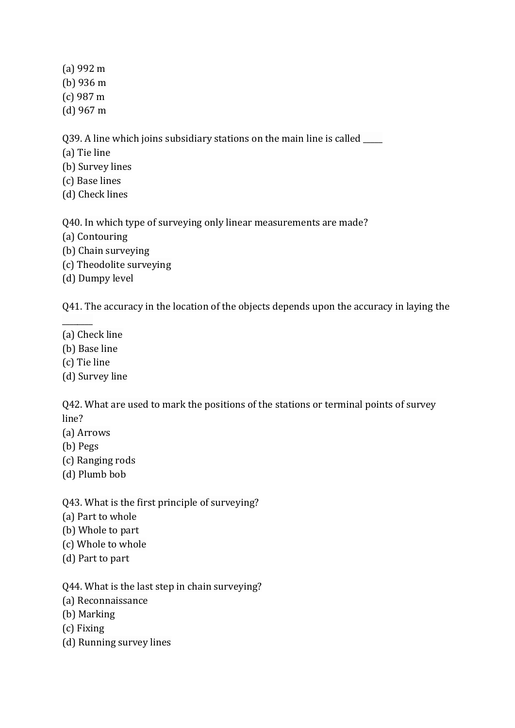(a) 992 m

- (b) 936 m
- (c) 987 m
- (d) 967 m

Q39. A line which joins subsidiary stations on the main line is called \_\_\_\_\_

- (a) Tie line
- (b) Survey lines
- (c) Base lines
- (d) Check lines

Q40. In which type of surveying only linear measurements are made?

- (a) Contouring
- (b) Chain surveying
- (c) Theodolite surveying
- (d) Dumpy level

Q41. The accuracy in the location of the objects depends upon the accuracy in laying the

- (a) Check line
- (b) Base line
- (c) Tie line

 $\overline{\phantom{a}}$ 

(d) Survey line

Q42. What are used to mark the positions of the stations or terminal points of survey line?

- (a) Arrows
- (b) Pegs
- (c) Ranging rods
- (d) Plumb bob
- Q43. What is the first principle of surveying?
- (a) Part to whole
- (b) Whole to part
- (c) Whole to whole
- (d) Part to part

Q44. What is the last step in chain surveying?

- (a) Reconnaissance
- (b) Marking
- (c) Fixing
- (d) Running survey lines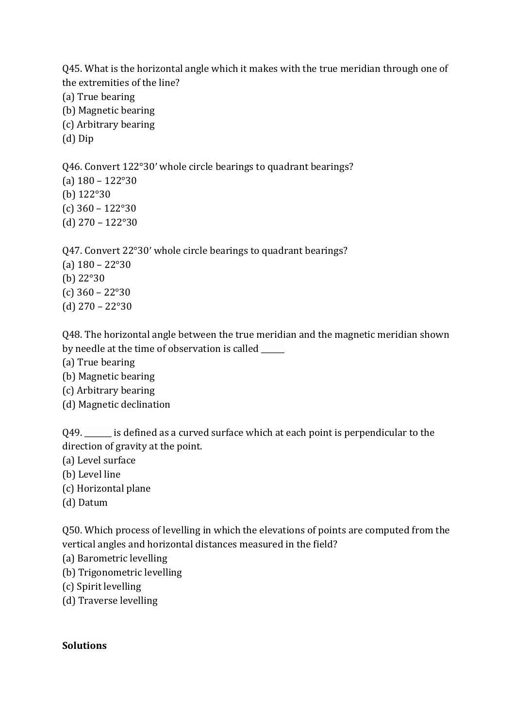Q45. What is the horizontal angle which it makes with the true meridian through one of the extremities of the line?

- (a) True bearing
- (b) Magnetic bearing
- (c) Arbitrary bearing
- (d) Dip

Q46. Convert 122°30′ whole circle bearings to quadrant bearings? (a) 180 – 122°30 (b) 122°30 (c) 360 – 122°30 (d) 270 – 122°30

Q47. Convert 22°30′ whole circle bearings to quadrant bearings? (a)  $180 - 22^{\circ}30$ (b) 22°30 (c) 360 – 22°30 (d) 270 – 22°30

Q48. The horizontal angle between the true meridian and the magnetic meridian shown by needle at the time of observation is called

- (a) True bearing
- (b) Magnetic bearing
- (c) Arbitrary bearing
- (d) Magnetic declination

Q49. \_\_\_\_\_\_ is defined as a curved surface which at each point is perpendicular to the direction of gravity at the point.

- (a) Level surface
- (b) Level line
- (c) Horizontal plane
- (d) Datum

Q50. Which process of levelling in which the elevations of points are computed from the vertical angles and horizontal distances measured in the field?

- (a) Barometric levelling
- (b) Trigonometric levelling
- (c) Spirit levelling
- (d) Traverse levelling

### **Solutions**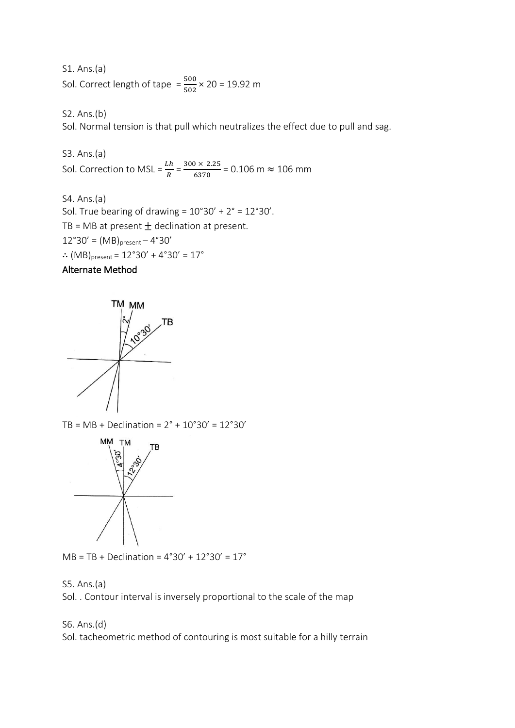S1. Ans.(a) Sol. Correct length of tape  $=\frac{500}{502} \times 20 = 19.92$  m

S2. Ans.(b)

Sol. Normal tension is that pull which neutralizes the effect due to pull and sag.

S3. Ans.(a) Sol. Correction to MSL =  $\frac{Lh}{R}$  =  $\frac{300 \times 2.25}{6370}$  $\frac{6370}{6370}$  = 0.106 m  $\approx$  106 mm

S4. Ans.(a) Sol. True bearing of drawing =  $10°30' + 2° = 12°30'$ . TB = MB at present  $\pm$  declination at present.  $12°30' = (MB)_{present} - 4°30'$ ∴  $(MB)$ <sub>present</sub> = 12°30′ + 4°30′ = 17°

## Alternate Method



TB = MB + Declination = 2° + 10°30' = 12°30'



 $MB = TB + Declination = 4°30' + 12°30' = 17°$ 

#### S5. Ans.(a)

Sol. . Contour interval is inversely proportional to the scale of the map

#### S6. Ans.(d)

Sol. tacheometric method of contouring is most suitable for a hilly terrain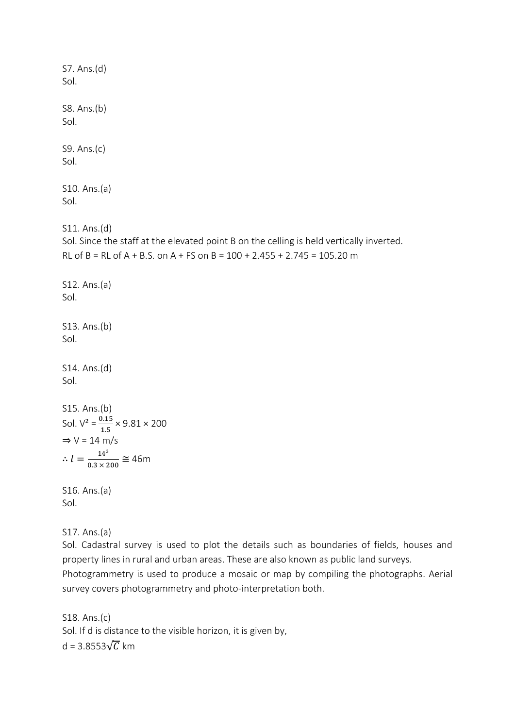S7. Ans.(d) Sol. S8. Ans.(b) Sol. S9. Ans.(c) Sol. S10. Ans.(a) Sol. S11. Ans.(d) Sol. Since the staff at the elevated point B on the celling is held vertically inverted. RL of B = RL of A + B.S. on A + FS on B = 100 + 2.455 + 2.745 = 105.20 m S12. Ans.(a) Sol. S13. Ans.(b) Sol. S14. Ans.(d) Sol. S15. Ans.(b) Sol.  $V^2 = \frac{0.15}{1.5} \times 9.81 \times 200$  $\Rightarrow$  V = 14 m/s  $\therefore l = \frac{14^3}{2.3 \times 2^3}$  $\frac{14}{0.3 \times 200} \approx 46$ m S16. Ans.(a) Sol.

S17. Ans.(a)

Sol. Cadastral survey is used to plot the details such as boundaries of fields, houses and property lines in rural and urban areas. These are also known as public land surveys.

Photogrammetry is used to produce a mosaic or map by compiling the photographs. Aerial survey covers photogrammetry and photo-interpretation both.

S18. Ans.(c) Sol. If d is distance to the visible horizon, it is given by, d = 3.8553 $\sqrt{C}$  km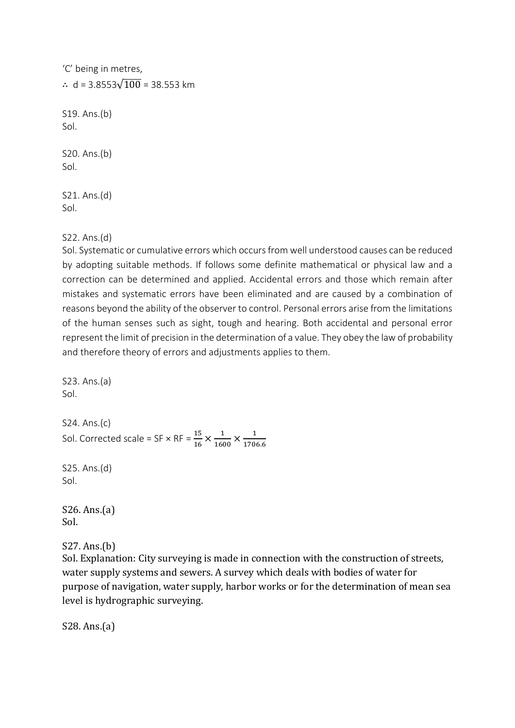| 'C' being in metres,                 |
|--------------------------------------|
| : $d = 3.8553\sqrt{100} = 38.553$ km |
| S19. Ans.(b)<br>Sol.                 |
| S20. Ans.(b)<br>Sol.                 |
| S21. Ans.(d)<br>Sol.                 |
|                                      |

S22. Ans.(d)

Sol. Systematic or cumulative errors which occurs from well understood causes can be reduced by adopting suitable methods. If follows some definite mathematical or physical law and a correction can be determined and applied. Accidental errors and those which remain after mistakes and systematic errors have been eliminated and are caused by a combination of reasons beyond the ability of the observer to control. Personal errors arise from the limitations of the human senses such as sight, tough and hearing. Both accidental and personal error represent the limit of precision in the determination of a value. They obey the law of probability and therefore theory of errors and adjustments applies to them.

```
S23. Ans.(a)
Sol. 
S24. Ans.(c)
Sol. Corrected scale = SF \times RF = \frac{15}{16} \times \frac{1}{160}\frac{1}{1600} \times \frac{1}{170}1706.6
S25. Ans.(d)
Sol. 
S26. Ans.(a)
```
Sol.

S27. Ans.(b)

Sol. Explanation: City surveying is made in connection with the construction of streets, water supply systems and sewers. A survey which deals with bodies of water for purpose of navigation, water supply, harbor works or for the determination of mean sea level is hydrographic surveying.

S28. Ans.(a)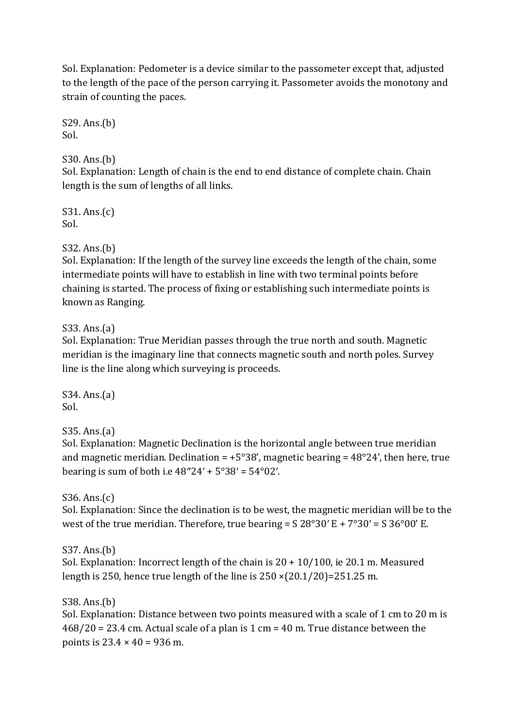Sol. Explanation: Pedometer is a device similar to the passometer except that, adjusted to the length of the pace of the person carrying it. Passometer avoids the monotony and strain of counting the paces.

S29. Ans.(b) Sol.

# S30. Ans.(b)

Sol. Explanation: Length of chain is the end to end distance of complete chain. Chain length is the sum of lengths of all links.

S31. Ans.(c) Sol.

## S32. Ans.(b)

Sol. Explanation: If the length of the survey line exceeds the length of the chain, some intermediate points will have to establish in line with two terminal points before chaining is started. The process of fixing or establishing such intermediate points is known as Ranging.

## S33. Ans.(a)

Sol. Explanation: True Meridian passes through the true north and south. Magnetic meridian is the imaginary line that connects magnetic south and north poles. Survey line is the line along which surveying is proceeds.

S34. Ans.(a) Sol.

S35. Ans.(a)

Sol. Explanation: Magnetic Declination is the horizontal angle between true meridian and magnetic meridian. Declination =  $+5^{\circ}38'$ , magnetic bearing =  $48^{\circ}24'$ , then here, true bearing is sum of both i.e  $48''24' + 5°38' = 54°02'$ .

S36. Ans.(c)

Sol. Explanation: Since the declination is to be west, the magnetic meridian will be to the west of the true meridian. Therefore, true bearing =  $S$  28°30′ E + 7°30′ =  $S$  36°00′ E.

S37. Ans.(b)

Sol. Explanation: Incorrect length of the chain is 20 + 10/100, ie 20.1 m. Measured length is 250, hence true length of the line is  $250 \times (20.1/20) = 251.25$  m.

## S38. Ans.(b)

Sol. Explanation: Distance between two points measured with a scale of 1 cm to 20 m is 468/20 = 23.4 cm. Actual scale of a plan is 1 cm = 40 m. True distance between the points is  $23.4 \times 40 = 936$  m.